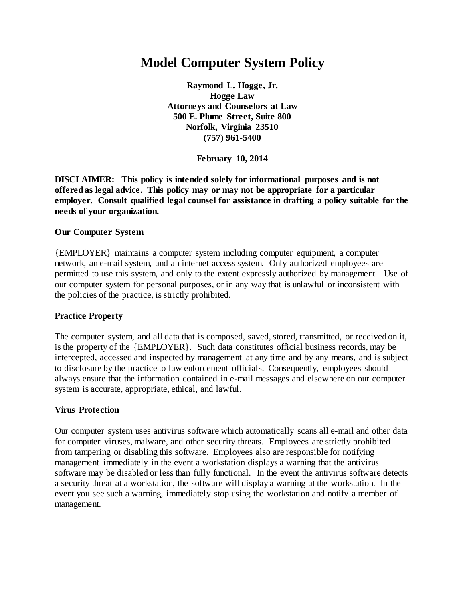# **Model Computer System Policy**

**Raymond L. Hogge, Jr. Hogge Law Attorneys and Counselors at Law 500 E. Plume Street, Suite 800 Norfolk, Virginia 23510 (757) 961-5400**

**February 10, 2014**

**DISCLAIMER: This policy is intended solely for informational purposes and is not offered as legal advice. This policy may or may not be appropriate for a particular employer. Consult qualified legal counsel for assistance in drafting a policy suitable for the needs of your organization.**

#### **Our Computer System**

{EMPLOYER} maintains a computer system including computer equipment, a computer network, an e-mail system, and an internet access system. Only authorized employees are permitted to use this system, and only to the extent expressly authorized by management. Use of our computer system for personal purposes, or in any way that is unlawful or inconsistent with the policies of the practice, is strictly prohibited.

#### **Practice Property**

The computer system, and all data that is composed, saved, stored, transmitted, or received on it, is the property of the {EMPLOYER}. Such data constitutes official business records, may be intercepted, accessed and inspected by management at any time and by any means, and is subject to disclosure by the practice to law enforcement officials. Consequently, employees should always ensure that the information contained in e-mail messages and elsewhere on our computer system is accurate, appropriate, ethical, and lawful.

#### **Virus Protection**

Our computer system uses antivirus software which automatically scans all e-mail and other data for computer viruses, malware, and other security threats. Employees are strictly prohibited from tampering or disabling this software. Employees also are responsible for notifying management immediately in the event a workstation displays a warning that the antivirus software may be disabled or less than fully functional. In the event the antivirus software detects a security threat at a workstation, the software will display a warning at the workstation. In the event you see such a warning, immediately stop using the workstation and notify a member of management.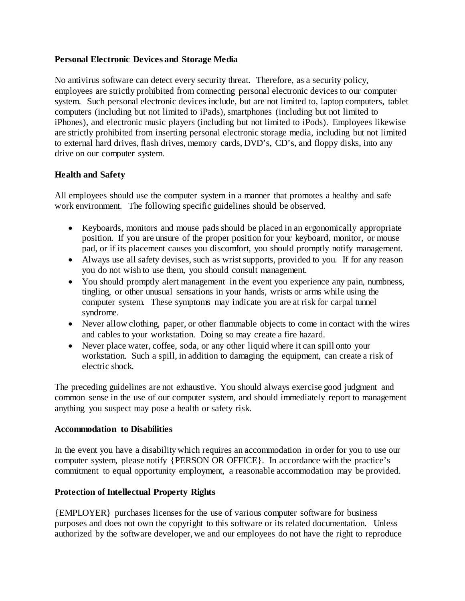#### **Personal Electronic Devices and Storage Media**

No antivirus software can detect every security threat. Therefore, as a security policy, employees are strictly prohibited from connecting personal electronic devices to our computer system. Such personal electronic devices include, but are not limited to, laptop computers, tablet computers (including but not limited to iPads), smartphones (including but not limited to iPhones), and electronic music players (including but not limited to iPods). Employees likewise are strictly prohibited from inserting personal electronic storage media, including but not limited to external hard drives, flash drives, memory cards, DVD's, CD's, and floppy disks, into any drive on our computer system.

## **Health and Safety**

All employees should use the computer system in a manner that promotes a healthy and safe work environment. The following specific guidelines should be observed.

- Keyboards, monitors and mouse pads should be placed in an ergonomically appropriate position. If you are unsure of the proper position for your keyboard, monitor, or mouse pad, or if its placement causes you discomfort, you should promptly notify management.
- Always use all safety devises, such as wrist supports, provided to you. If for any reason you do not wish to use them, you should consult management.
- You should promptly alert management in the event you experience any pain, numbness, tingling, or other unusual sensations in your hands, wrists or arms while using the computer system. These symptoms may indicate you are at risk for carpal tunnel syndrome.
- Never allow clothing, paper, or other flammable objects to come in contact with the wires and cables to your workstation. Doing so may create a fire hazard.
- Never place water, coffee, soda, or any other liquid where it can spill onto your workstation. Such a spill, in addition to damaging the equipment, can create a risk of electric shock.

The preceding guidelines are not exhaustive. You should always exercise good judgment and common sense in the use of our computer system, and should immediately report to management anything you suspect may pose a health or safety risk.

#### **Accommodation to Disabilities**

In the event you have a disability which requires an accommodation in order for you to use our computer system, please notify {PERSON OR OFFICE}. In accordance with the practice's commitment to equal opportunity employment, a reasonable accommodation may be provided.

#### **Protection of Intellectual Property Rights**

{EMPLOYER} purchases licenses for the use of various computer software for business purposes and does not own the copyright to this software or its related documentation. Unless authorized by the software developer, we and our employees do not have the right to reproduce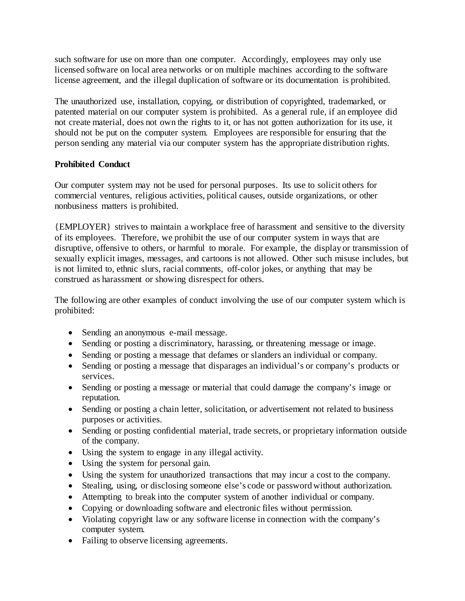such software for use on more than one computer. Accordingly, employees may only use licensed software on local area networks or on multiple machines according to the software license agreement, and the illegal duplication of software or its documentation is prohibited.

The unauthorized use, installation, copying, or distribution of copyrighted, trademarked, or patented material on our computer system is prohibited. As a general rule, if an employee did not create material, does not own the rights to it, or has not gotten authorization for its use, it should not be put on the computer system. Employees are responsible for ensuring that the person sending any material via our computer system has the appropriate distribution rights.

## **Prohibited Conduct**

Our computer system may not be used for personal purposes. Its use to solicit others for commercial ventures, religious activities, political causes, outside organizations, or other nonbusiness matters is prohibited.

{EMPLOYER} strives to maintain a workplace free of harassment and sensitive to the diversity of its employees. Therefore, we prohibit the use of our computer system in ways that are disruptive, offensive to others, or harmful to morale. For example, the display or transmission of sexually explicit images, messages, and cartoons is not allowed. Other such misuse includes, but is not limited to, ethnic slurs, racial comments, off-color jokes, or anything that may be construed as harassment or showing disrespect for others.

The following are other examples of conduct involving the use of our computer system which is prohibited:

- Sending an anonymous e-mail message.
- Sending or posting a discriminatory, harassing, or threatening message or image.
- Sending or posting a message that defames or slanders an individual or company.
- Sending or posting a message that disparages an individual's or company's products or services.
- Sending or posting a message or material that could damage the company's image or reputation.
- Sending or posting a chain letter, solicitation, or advertisement not related to business purposes or activities.
- Sending or posting confidential material, trade secrets, or proprietary information outside of the company.
- Using the system to engage in any illegal activity.
- Using the system for personal gain.
- Using the system for unauthorized transactions that may incur a cost to the company.
- Stealing, using, or disclosing someone else's code or password without authorization.
- Attempting to break into the computer system of another individual or company.
- Copying or downloading software and electronic files without permission.
- Violating copyright law or any software license in connection with the company's computer system.
- Failing to observe licensing agreements.